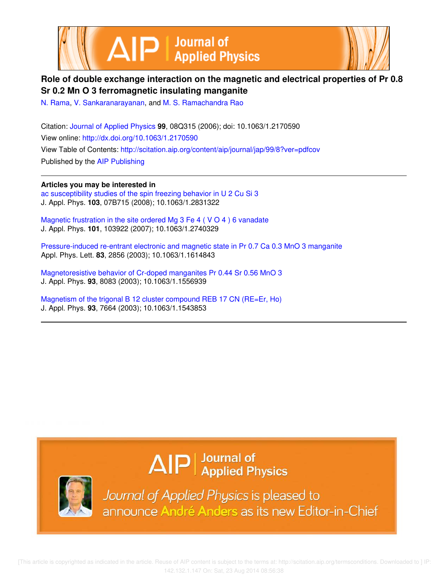



## **Role of double exchange interaction on the magnetic and electrical properties of Pr 0.8 Sr 0.2 Mn O 3 ferromagnetic insulating manganite**

N. Rama, V. Sankaranarayanan, and M. S. Ramachandra Rao

Citation: Journal of Applied Physics **99**, 08Q315 (2006); doi: 10.1063/1.2170590 View online: http://dx.doi.org/10.1063/1.2170590 View Table of Contents: http://scitation.aip.org/content/aip/journal/jap/99/8?ver=pdfcov Published by the AIP Publishing

**Articles you may be interested in** ac susceptibility studies of the spin freezing behavior in U 2 Cu Si 3 J. Appl. Phys. **103**, 07B715 (2008); 10.1063/1.2831322

Magnetic frustration in the site ordered Mg 3 Fe 4 ( V O 4 ) 6 vanadate J. Appl. Phys. **101**, 103922 (2007); 10.1063/1.2740329

Pressure-induced re-entrant electronic and magnetic state in Pr 0.7 Ca 0.3 MnO 3 manganite Appl. Phys. Lett. **83**, 2856 (2003); 10.1063/1.1614843

Magnetoresistive behavior of Cr-doped manganites Pr 0.44 Sr 0.56 MnO 3 J. Appl. Phys. **93**, 8083 (2003); 10.1063/1.1556939

Magnetism of the trigonal B 12 cluster compound REB 17 CN (RE=Er, Ho) J. Appl. Phys. **93**, 7664 (2003); 10.1063/1.1543853

# $\Delta$   $\vert P \vert$  Journal of Applied Physics



Journal of Applied Physics is pleased to announce André Anders as its new Editor-in-Chief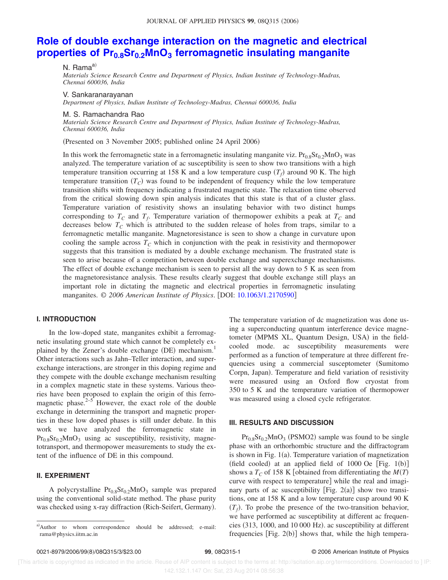## **Role of double exchange interaction on the magnetic and electrical properties of Pr0.8Sr0.2MnO<sup>3</sup> ferromagnetic insulating manganite**

N. Rama<sup>a)</sup>

*Materials Science Research Centre and Department of Physics, Indian Institute of Technology-Madras, Chennai 600036, India*

V. Sankaranarayanan

*Department of Physics, Indian Institute of Technology-Madras, Chennai 600036, India*

#### M. S. Ramachandra Rao

*Materials Science Research Centre and Department of Physics, Indian Institute of Technology-Madras, Chennai 600036, India*

(Presented on 3 November 2005; published online 24 April 2006)

In this work the ferromagnetic state in a ferromagnetic insulating manganite viz.  $Pr_{0.8}Sr_{0.2}MnO_3$  was analyzed. The temperature variation of ac susceptibility is seen to show two transitions with a high temperature transition occurring at 158 K and a low temperature cusp  $(T_f)$  around 90 K. The high temperature transition *TC*- was found to be independent of frequency while the low temperature transition shifts with frequency indicating a frustrated magnetic state. The relaxation time observed from the critical slowing down spin analysis indicates that this state is that of a cluster glass. Temperature variation of resistivity shows an insulating behavior with two distinct humps corresponding to  $T_c$  and  $T_f$ . Temperature variation of thermopower exhibits a peak at  $T_c$  and decreases below  $T_c$  which is attributed to the sudden release of holes from traps, similar to a ferromagnetic metallic manganite. Magnetoresistance is seen to show a change in curvature upon cooling the sample across  $T_C$  which in conjunction with the peak in resistivity and thermopower suggests that this transition is mediated by a double exchange mechanism. The frustrated state is seen to arise because of a competition between double exchange and superexchange mechanisms. The effect of double exchange mechanism is seen to persist all the way down to 5 K as seen from the magnetoresistance analysis. These results clearly suggest that double exchange still plays an important role in dictating the magnetic and electrical properties in ferromagnetic insulating manganites. © 2006 American Institute of Physics. [DOI: 10.1063/1.2170590]

#### **I. INTRODUCTION**

In the low-doped state, manganites exhibit a ferromagnetic insulating ground state which cannot be completely explained by the Zener's double exchange (DE) mechanism.<sup>1</sup> Other interactions such as Jahn–Teller interaction, and superexchange interactions, are stronger in this doping regime and they compete with the double exchange mechanism resulting in a complex magnetic state in these systems. Various theories have been proposed to explain the origin of this ferromagnetic phase. $2^{-5}$  However, the exact role of the double exchange in determining the transport and magnetic properties in these low doped phases is still under debate. In this work we have analyzed the ferromagnetic state in  $Pr<sub>0.8</sub>Sr<sub>0.2</sub>MnO<sub>3</sub>$  using ac susceptibility, resistivity, magnetotransport, and thermopower measurements to study the extent of the influence of DE in this compound.

### **II. EXPERIMENT**

A polycrystalline  $Pr<sub>0.8</sub>Sr<sub>0.2</sub>MnO<sub>3</sub>$  sample was prepared using the conventional solid-state method. The phase purity was checked using x-ray diffraction (Rich-Seifert, Germany).

The temperature variation of dc magnetization was done using a superconducting quantum interference device magnetometer (MPMS XL, Quantum Design, USA) in the fieldcooled mode. ac susceptibility measurements were performed as a function of temperature at three different frequencies using a commercial susceptometer (Sumitomo Corpn, Japan). Temperature and field variation of resistivity were measured using an Oxford flow cryostat from 350 to 5 K and the temperature variation of thermopower was measured using a closed cycle refrigerator.

#### **III. RESULTS AND DISCUSSION**

 $Pr_{0.8}Sr_{0.2}MnO_3$  (PSMO2) sample was found to be single phase with an orthorhombic structure and the diffractogram is shown in Fig.  $1(a)$ . Temperature variation of magnetization (field cooled) at an applied field of  $1000$  Oe [Fig.  $1(b)$ ] shows a  $T_C$  of 158 K [obtained from differentiating the  $M(T)$ curve with respect to temperature] while the real and imaginary parts of ac susceptibility [Fig.  $2(a)$ ] show two transitions, one at 158 K and a low temperature cusp around 90 K  $(T_f)$ . To probe the presence of the two-transition behavior, we have performed ac susceptibility at different ac frequencies (313, 1000, and 10 000 Hz). ac susceptibility at different frequencies  $[Fig. 2(b)]$  shows that, while the high tempera-

a)Author to whom correspondence should be addressed; e-mail: rama@physics.iitm.ac.in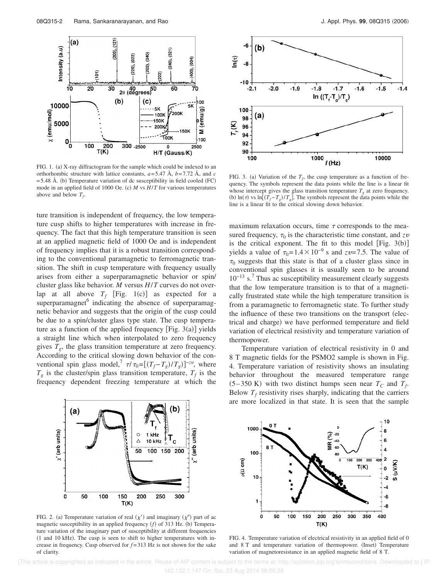

FIG. 1. (a) X-ray diffractogram for the sample which could be indexed to an orthorhombic structure with lattice constants, *a*= 5.47 Å, *b*= 7.72 Å, and *c*  $=$  5.48 Å. (b) Temperature variation of dc susceptibility in field cooled (FC) mode in an applied field of 1000 Oe. (c) *M* vs *H*/*T* for various temperatures above and below  $T_f$ .

ture transition is independent of frequency, the low temperature cusp shifts to higher temperatures with increase in frequency. The fact that this high temperature transition is seen at an applied magnetic field of 1000 Oe and is independent of frequency implies that it is a robust transition corresponding to the conventional paramagnetic to ferromagnetic transition. The shift in cusp temperature with frequency usually arises from either a superparamagnetic behavior or spin/ cluster glass like behavior. *M* versus *H*/*T* curves do not overlap at all above  $T_f$  [Fig. 1(c)] as expected for a superparamagnet<sup>6</sup> indicating the absence of superparamagnetic behavior and suggests that the origin of the cusp could be due to a spin/cluster glass type state. The cusp temperature as a function of the applied frequency  $[Fig. 3(a)]$  yields a straight line which when interpolated to zero frequency gives  $T_g$ , the glass transition temperature at zero frequency. According to the critical slowing down behavior of the conventional spin glass model,<sup>7</sup>  $\tau/\tau_0 = [(T_f - T_g)/T_g]^{-z\nu}$ , where  $T_g$  is the cluster/spin glass transition temperature,  $T_f$  is the frequency dependent freezing temperature at which the



FIG. 2. (a) Temperature variation of real  $(\chi')$  and imaginary  $(\chi'')$  part of ac magnetic susceptibility in an applied frequency (f) of 313 Hz. (b) Temperature variation of the imaginary part of susceptibility at different frequencies (1 and 10 kHz). The cusp is seen to shift to higher temperatures with increase in frequency. Cusp observed for  $f = 313$  Hz is not shown for the sake of clarity.



FIG. 3. (a) Variation of the  $T_f$ , the cusp temperature as a function of frequency. The symbols represent the data points while the line is a linear fit whose intercept gives the glass transition temperature  $T_g$  at zero frequency. (b)  $\ln(\tau)$  vs  $\ln[(T_f - T_g)/T_g]$ . The symbols represent the data points while the line is a linear fit to the critical slowing down behavior.

maximum relaxation occurs, time  $\tau$  corresponds to the measured frequency,  $\tau_0$  is the characteristic time constant, and  $z\nu$ is the critical exponent. The fit to this model  $[Fig. 3(b)]$ yields a value of  $\tau_0 = 1.4 \times 10^{-9}$  s and  $zv = 7.5$ . The value of  $\tau_0$  suggests that this state is that of a cluster glass since in conventional spin glasses it is usually seen to be around 10−13 s. 7 Thus ac susceptibility measurement clearly suggests that the low temperature transition is to that of a magnetically frustrated state while the high temperature transition is from a paramagnetic to ferromagnetic state. To further study the influence of these two transitions on the transport (electrical and charge) we have performed temperature and field variation of electrical resistivity and temperature variation of thermopower.

Temperature variation of electrical resistivity in 0 and 8 T magnetic fields for the PSMO2 sample is shown in Fig. 4. Temperature variation of resistivity shows an insulating behavior throughout the measured temperature range  $(5-350 \text{ K})$  with two distinct humps seen near  $T_c$  and  $T_f$ . Below  $T_f$  resistivity rises sharply, indicating that the carriers are more localized in that state. It is seen that the sample



FIG. 4. Temperature variation of electrical resistivity in an applied field of 0 and 8 T and temperature variation of thermopower. (Inset) Temperature variation of magnetoresistance in an applied magnetic field of 8 T.

[This article is copyrighted as indicated in the article. Reuse of AIP content is subject to the terms at: http://scitation.aip.org/termsconditions. Downloaded to ] IP: